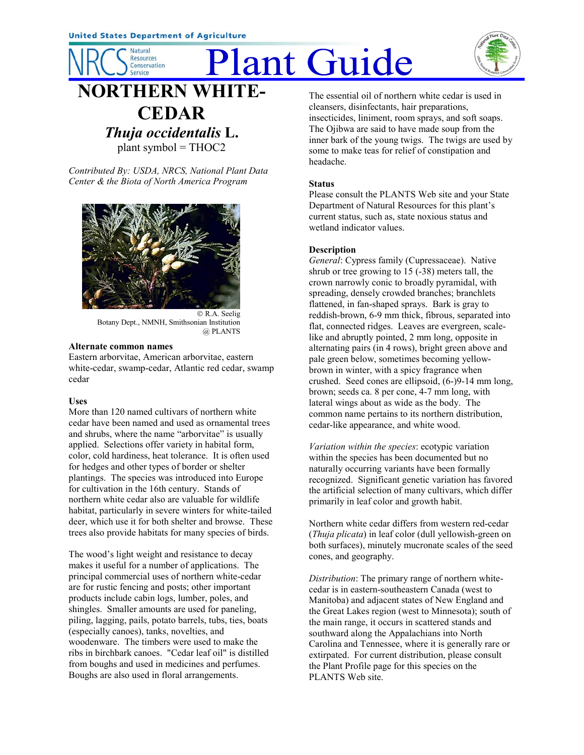**Natural Resources** Conservation **Service** 

# Plant Guide



# **DRTHERN WHITE-CEDAR** *Thuja occidentalis* **L.** plant symbol = THOC2

*Contributed By: USDA, NRCS, National Plant Data Center & the Biota of North America Program*



 R.A. Seelig Botany Dept., NMNH, Smithsonian Institution @ PLANTS

### **Alternate common names**

Eastern arborvitae, American arborvitae, eastern white-cedar, swamp-cedar, Atlantic red cedar, swamp cedar

# **Uses**

More than 120 named cultivars of northern white cedar have been named and used as ornamental trees and shrubs, where the name "arborvitae" is usually applied. Selections offer variety in habital form, color, cold hardiness, heat tolerance. It is often used for hedges and other types of border or shelter plantings. The species was introduced into Europe for cultivation in the 16th century. Stands of northern white cedar also are valuable for wildlife habitat, particularly in severe winters for white-tailed deer, which use it for both shelter and browse. These trees also provide habitats for many species of birds.

The wood's light weight and resistance to decay makes it useful for a number of applications. The principal commercial uses of northern white-cedar are for rustic fencing and posts; other important products include cabin logs, lumber, poles, and shingles. Smaller amounts are used for paneling, piling, lagging, pails, potato barrels, tubs, ties, boats (especially canoes), tanks, novelties, and woodenware. The timbers were used to make the ribs in birchbark canoes. "Cedar leaf oil" is distilled from boughs and used in medicines and perfumes. Boughs are also used in floral arrangements.

The essential oil of northern white cedar is used in cleansers, disinfectants, hair preparations, insecticides, liniment, room sprays, and soft soaps. The Ojibwa are said to have made soup from the inner bark of the young twigs. The twigs are used by some to make teas for relief of constipation and headache.

# **Status**

Please consult the PLANTS Web site and your State Department of Natural Resources for this plant's current status, such as, state noxious status and wetland indicator values.

# **Description**

*General*: Cypress family (Cupressaceae). Native shrub or tree growing to 15 (-38) meters tall, the crown narrowly conic to broadly pyramidal, with spreading, densely crowded branches; branchlets flattened, in fan-shaped sprays. Bark is gray to reddish-brown, 6-9 mm thick, fibrous, separated into flat, connected ridges. Leaves are evergreen, scalelike and abruptly pointed, 2 mm long, opposite in alternating pairs (in 4 rows), bright green above and pale green below, sometimes becoming yellowbrown in winter, with a spicy fragrance when crushed. Seed cones are ellipsoid, (6-)9-14 mm long, brown; seeds ca. 8 per cone, 4-7 mm long, with lateral wings about as wide as the body. The common name pertains to its northern distribution, cedar-like appearance, and white wood.

*Variation within the species*: ecotypic variation within the species has been documented but no naturally occurring variants have been formally recognized. Significant genetic variation has favored the artificial selection of many cultivars, which differ primarily in leaf color and growth habit.

Northern white cedar differs from western red-cedar (*Thuja plicata*) in leaf color (dull yellowish-green on both surfaces), minutely mucronate scales of the seed cones, and geography.

*Distribution*: The primary range of northern whitecedar is in eastern-southeastern Canada (west to Manitoba) and adjacent states of New England and the Great Lakes region (west to Minnesota); south of the main range, it occurs in scattered stands and southward along the Appalachians into North Carolina and Tennessee, where it is generally rare or extirpated. For current distribution, please consult the Plant Profile page for this species on the PLANTS Web site.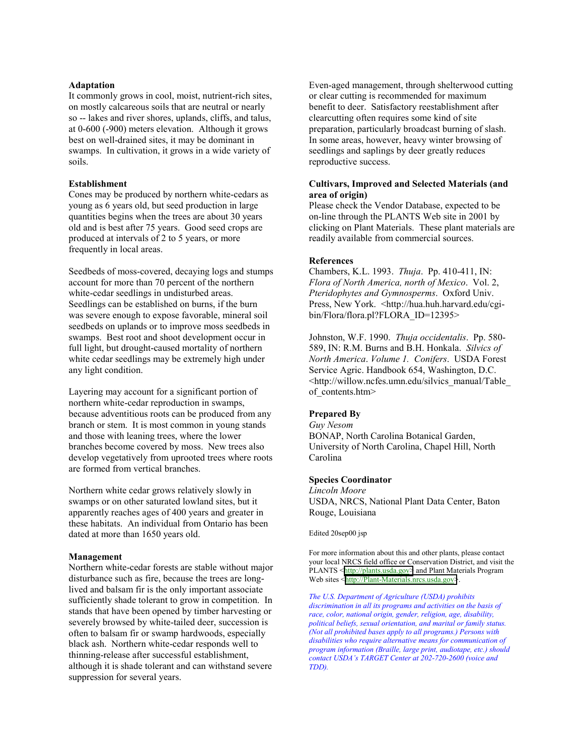#### **Adaptation**

It commonly grows in cool, moist, nutrient-rich sites, on mostly calcareous soils that are neutral or nearly so -- lakes and river shores, uplands, cliffs, and talus, at 0-600 (-900) meters elevation. Although it grows best on well-drained sites, it may be dominant in swamps. In cultivation, it grows in a wide variety of soils.

#### **Establishment**

Cones may be produced by northern white-cedars as young as 6 years old, but seed production in large quantities begins when the trees are about 30 years old and is best after 75 years. Good seed crops are produced at intervals of 2 to 5 years, or more frequently in local areas.

Seedbeds of moss-covered, decaying logs and stumps account for more than 70 percent of the northern white-cedar seedlings in undisturbed areas. Seedlings can be established on burns, if the burn was severe enough to expose favorable, mineral soil seedbeds on uplands or to improve moss seedbeds in swamps. Best root and shoot development occur in full light, but drought-caused mortality of northern white cedar seedlings may be extremely high under any light condition.

Layering may account for a significant portion of northern white-cedar reproduction in swamps, because adventitious roots can be produced from any branch or stem. It is most common in young stands and those with leaning trees, where the lower branches become covered by moss. New trees also develop vegetatively from uprooted trees where roots are formed from vertical branches.

Northern white cedar grows relatively slowly in swamps or on other saturated lowland sites, but it apparently reaches ages of 400 years and greater in these habitats. An individual from Ontario has been dated at more than 1650 years old.

#### **Management**

Northern white-cedar forests are stable without major disturbance such as fire, because the trees are longlived and balsam fir is the only important associate sufficiently shade tolerant to grow in competition. In stands that have been opened by timber harvesting or severely browsed by white-tailed deer, succession is often to balsam fir or swamp hardwoods, especially black ash. Northern white-cedar responds well to thinning-release after successful establishment, although it is shade tolerant and can withstand severe suppression for several years.

Even-aged management, through shelterwood cutting or clear cutting is recommended for maximum benefit to deer. Satisfactory reestablishment after clearcutting often requires some kind of site preparation, particularly broadcast burning of slash. In some areas, however, heavy winter browsing of seedlings and saplings by deer greatly reduces reproductive success.

#### **Cultivars, Improved and Selected Materials (and area of origin)**

Please check the Vendor Database, expected to be on-line through the PLANTS Web site in 2001 by clicking on Plant Materials. These plant materials are readily available from commercial sources.

#### **References**

Chambers, K.L. 1993. *Thuja*. Pp. 410-411, IN: *Flora of North America, north of Mexico*. Vol. 2, *Pteridophytes and Gymnosperms*. Oxford Univ. Press, New York. <http://hua.huh.harvard.edu/cgibin/Flora/flora.pl?FLORA\_ID=12395>

Johnston, W.F. 1990. *Thuja occidentalis*. Pp. 580- 589, IN: R.M. Burns and B.H. Honkala. *Silvics of North America*. *Volume 1. Conifers*. USDA Forest Service Agric. Handbook 654, Washington, D.C. <http://willow.ncfes.umn.edu/silvics\_manual/Table\_ of contents.htm>

#### **Prepared By**

*Guy Nesom* BONAP, North Carolina Botanical Garden, University of North Carolina, Chapel Hill, North Carolina

#### **Species Coordinator**

*Lincoln Moore* USDA, NRCS, National Plant Data Center, Baton Rouge, Louisiana

Edited 20sep00 jsp

For more information about this and other plants, please contact your local NRCS field office or Conservation District, and visit the PLANTS <[http://plants.usda.gov>](http://plants.usda.gov/) and Plant Materials Program Web sites <[http://Plant-Materials.nrcs.usda.gov>](http://plant-materials.nrcs.usda.gov/).

*The U.S. Department of Agriculture (USDA) prohibits discrimination in all its programs and activities on the basis of race, color, national origin, gender, religion, age, disability, political beliefs, sexual orientation, and marital or family status. (Not all prohibited bases apply to all programs.) Persons with disabilities who require alternative means for communication of program information (Braille, large print, audiotape, etc.) should contact USDAís TARGET Center at 202-720-2600 (voice and TDD).*